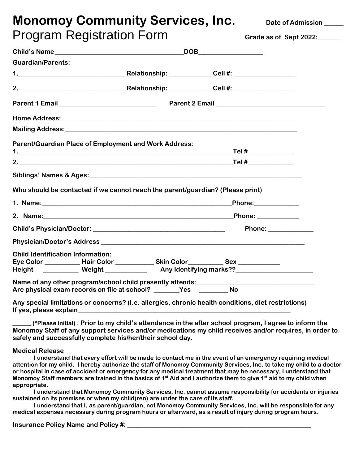# **Monomoy Community Services, Inc.** Date of Admission Program Registration Form **Grade as of Sept 2022:\_\_\_\_\_\_\_**

|                                          |                                                                                                                                                                                                                               | DOB__________________ |                                                                                                                                                                                                                                |  |  |  |
|------------------------------------------|-------------------------------------------------------------------------------------------------------------------------------------------------------------------------------------------------------------------------------|-----------------------|--------------------------------------------------------------------------------------------------------------------------------------------------------------------------------------------------------------------------------|--|--|--|
| <b>Guardian/Parents:</b>                 |                                                                                                                                                                                                                               |                       |                                                                                                                                                                                                                                |  |  |  |
|                                          |                                                                                                                                                                                                                               |                       |                                                                                                                                                                                                                                |  |  |  |
|                                          |                                                                                                                                                                                                                               |                       |                                                                                                                                                                                                                                |  |  |  |
|                                          |                                                                                                                                                                                                                               |                       |                                                                                                                                                                                                                                |  |  |  |
|                                          |                                                                                                                                                                                                                               |                       | Home Address: Annual Property of the Community of the Community of the Community of the Community of the Community of the Community of the Community of the Community of the Community of the Community of the Community of th |  |  |  |
|                                          |                                                                                                                                                                                                                               |                       |                                                                                                                                                                                                                                |  |  |  |
|                                          | <b>Parent/Guardian Place of Employment and Work Address:</b>                                                                                                                                                                  |                       |                                                                                                                                                                                                                                |  |  |  |
|                                          |                                                                                                                                                                                                                               |                       | 2. Tel $\#$                                                                                                                                                                                                                    |  |  |  |
|                                          |                                                                                                                                                                                                                               |                       |                                                                                                                                                                                                                                |  |  |  |
|                                          |                                                                                                                                                                                                                               |                       | Who should be contacted if we cannot reach the parent/guardian? (Please print)                                                                                                                                                 |  |  |  |
|                                          |                                                                                                                                                                                                                               |                       |                                                                                                                                                                                                                                |  |  |  |
|                                          | 2. Name: 2008. 2008. 2009. 2010. 2010. 2010. 2010. 2010. 2010. 2011. 2012. 2012. 2012. 2012. 2012. 2012. 2012.                                                                                                                |                       | $\underline{\textsf{Phone:}}$                                                                                                                                                                                                  |  |  |  |
|                                          |                                                                                                                                                                                                                               |                       | Phone: _____________                                                                                                                                                                                                           |  |  |  |
|                                          |                                                                                                                                                                                                                               |                       |                                                                                                                                                                                                                                |  |  |  |
| <b>Child Identification Information:</b> |                                                                                                                                                                                                                               |                       | Eye Color _____________ Hair Color ______________ Skin Color____________ Sex _____________                                                                                                                                     |  |  |  |
|                                          |                                                                                                                                                                                                                               |                       | Height ___________ Weight _____________ Any Identifying marks??_________________                                                                                                                                               |  |  |  |
|                                          |                                                                                                                                                                                                                               |                       | Name of any other program/school child presently attends:_______________________                                                                                                                                               |  |  |  |
|                                          |                                                                                                                                                                                                                               |                       | <b>No</b>                                                                                                                                                                                                                      |  |  |  |
|                                          | If yes, please explain the control of the control of the control of the control of the control of the control of the control of the control of the control of the control of the control of the control of the control of the |                       | Any special limitations or concerns? (I.e. allergies, chronic health conditions, diet restrictions)                                                                                                                            |  |  |  |
|                                          |                                                                                                                                                                                                                               |                       | (*Please initial) : Prior to my child's attendance in the after school program, I agree to inform the<br>Monomoy Staff of any support services and/or medications my child receives and/or requires, in order to               |  |  |  |

**Medical Release**

**I understand that every effort will be made to contact me in the event of an emergency requiring medical attention for my child. I hereby authorize the staff of Monomoy Community Services, Inc. to take my child to a doctor or hospital in case of accident or emergency for any medical treatment that may be necessary. I understand that Monomoy Staff members are trained in the basics of 1st Aid and I authorize them to give 1st aid to my child when appropriate.**

**I understand that Monomoy Community Services, Inc. cannot assume responsibility for accidents or injuries sustained on its premises or when my child(ren) are under the care of its staff.**

**I understand that I, as parent/guardian, not Monomoy Community Services, Inc. will be responsible for any medical expenses necessary during program hours or afterward, as a result of injury during program hours.**

**Insurance Policy Name and Policy #: \_\_\_\_\_\_\_\_\_\_\_\_\_\_\_\_\_\_\_\_\_\_\_\_\_\_\_\_\_\_\_\_\_\_\_\_\_\_\_\_\_\_\_\_\_\_\_\_\_\_\_\_\_\_\_\_\_**

**safely and successfully complete his/her/their school day.**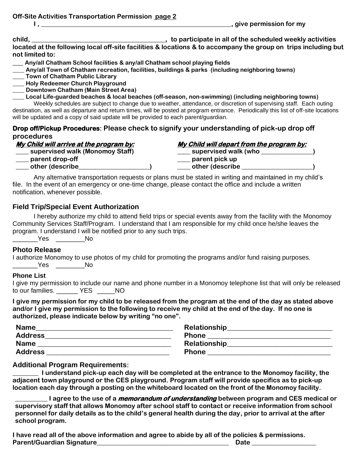**Off-Site Activities Transportation Permission page 2**

**I , \_\_\_\_\_\_\_\_\_\_\_\_\_\_\_\_\_\_\_\_\_\_\_\_\_\_\_\_\_\_\_\_\_\_\_\_\_\_\_\_\_\_\_\_\_\_\_\_\_\_\_\_\_\_\_\_\_\_\_, give permission for my** 

**child, \_\_\_\_\_\_\_\_\_\_\_\_\_\_\_\_\_\_\_\_\_\_\_\_\_\_\_\_\_\_\_\_\_\_\_\_\_\_, to participate in all of the scheduled weekly activities** 

**located at the following local off-site facilities & locations & to accompany the group on trips including but not limited to:**

**\_\_\_ Any/all Chatham School facilities & any/all Chatham school playing fields**

**\_\_\_\_ Any/all Town of Chatham recreation, facilities, buildings & parks (including neighboring towns)**

**\_\_\_\_ Town of Chatham Public Library**

**\_\_\_\_ Holy Redeemer Church Playground**

**\_\_\_\_ Downtown Chatham (Main Street Area)**

**\_\_\_\_ Local Life-guarded beaches & local beaches (off-season, non-swimming) (including neighboring towns)** Weekly schedules are subject to change due to weather, attendance, or discretion of supervising staff. Each outing destination, as well as departure and return times, will be posted at program entrance. Periodically this list of off-site locations

will be updated and a copy of said update will be provided to each parent/guardian.

#### **Drop off/Pickup Procedures: Please check to signify your understanding of pick-up drop off procedures**

| My Child will arrive at the program by: | My Child will depart from the program by: |
|-----------------------------------------|-------------------------------------------|
| supervised walk (Monomoy Staff)         | supervised walk (who                      |
| parent drop-off                         | parent pick up                            |
| other (describe                         | other (describe                           |

Any alternative transportation requests or plans must be stated in writing and maintained in my child's file. In the event of an emergency or one-time change, please contact the office and include a written notification, whenever possible.

### **Field Trip/Special Event Authorization**

I hereby authorize my child to attend field trips or special events away from the facility with the Monomoy Community Services Staff/Program. I understand that I am responsible for my child once he/she leaves the program. I understand I will be notified prior to any such trips. \_\_\_\_\_\_\_Yes \_\_\_\_\_\_\_\_No

#### **Photo Release**

I authorize Monomoy to use photos of my child for promoting the programs and/or fund raising purposes.

\_\_\_\_\_\_\_Yes \_\_\_\_\_\_\_\_No

#### **Phone List**

|                          |  | I give my permission to include our name and phone number in a Monomoy telephone list that will only be released |  |  |
|--------------------------|--|------------------------------------------------------------------------------------------------------------------|--|--|
| to our families.  YES NO |  |                                                                                                                  |  |  |

**I give my permission for my child to be released from the program at the end of the day as stated above and/or I give my permission to the following to receive my child at the end of the day. If no one is authorized, please indicate below by writing "no one".**

| <b>Name</b>    | <b>Relationship</b> |
|----------------|---------------------|
| <b>Address</b> | <b>Phone</b>        |
| <b>Name</b>    | Relationship        |
| <b>Address</b> | <b>Phone</b>        |

#### **Additional Program Requirements:**

**\_\_\_\_\_\_\_\_ I understand pick-up each day will be completed at the entrance to the Monomoy facility, the adjacent town playground or the CES playground. Program staff will provide specifics as to pick-up location each day through a posting on the whiteboard located on the front of the Monomoy facility.** 

**\_\_\_\_\_\_\_\_\_\_ I agree to the use of a memorandum of understanding between program and CES medical or supervisory staff that allows Monomoy after school staff to contact or receive information from school personnel for daily details as to the child's general health during the day, prior to arrival at the after school program.** 

**I have read all of the above information and agree to abide by all of the policies & permissions. Parent/Guardian Signature\_\_\_\_\_\_\_\_\_\_\_\_\_\_\_\_\_\_\_\_\_\_\_\_\_\_\_\_\_\_\_\_\_\_\_\_\_\_\_\_\_ Date \_\_\_\_\_\_\_\_\_\_\_\_\_\_\_\_\_\_\_\_**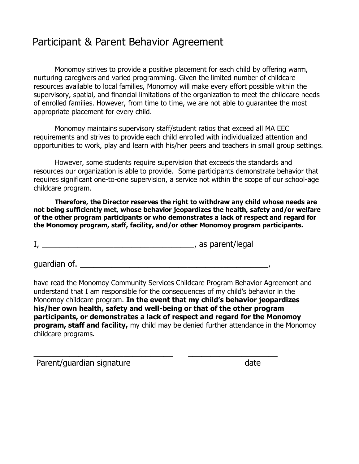## Participant & Parent Behavior Agreement

Monomoy strives to provide a positive placement for each child by offering warm, nurturing caregivers and varied programming. Given the limited number of childcare resources available to local families, Monomoy will make every effort possible within the supervisory, spatial, and financial limitations of the organization to meet the childcare needs of enrolled families. However, from time to time, we are not able to guarantee the most appropriate placement for every child.

Monomoy maintains supervisory staff/student ratios that exceed all MA EEC requirements and strives to provide each child enrolled with individualized attention and opportunities to work, play and learn with his/her peers and teachers in small group settings.

However, some students require supervision that exceeds the standards and resources our organization is able to provide. Some participants demonstrate behavior that requires significant one-to-one supervision, a service not within the scope of our school-age childcare program.

**Therefore, the Director reserves the right to withdraw any child whose needs are not being sufficiently met, whose behavior jeopardizes the health, safety and/or welfare of the other program participants or who demonstrates a lack of respect and regard for the Monomoy program, staff, facility, and/or other Monomoy program participants.**

I, \_\_\_\_\_\_\_\_\_\_\_\_\_\_\_\_\_\_\_\_\_\_\_\_\_\_\_\_\_\_\_\_\_\_, as parent/legal

quardian of.

\_\_\_\_\_\_\_\_\_\_\_\_\_\_\_\_\_\_\_\_\_\_\_\_\_\_\_\_\_\_\_ \_\_\_\_\_\_\_\_\_\_\_\_\_\_\_\_\_\_\_\_

have read the Monomoy Community Services Childcare Program Behavior Agreement and understand that I am responsible for the consequences of my child's behavior in the Monomoy childcare program. **In the event that my child's behavior jeopardizes his/her own health, safety and well-being or that of the other program participants, or demonstrates a lack of respect and regard for the Monomoy program, staff and facility,** my child may be denied further attendance in the Monomoy childcare programs.

Parent/guardian signature date date